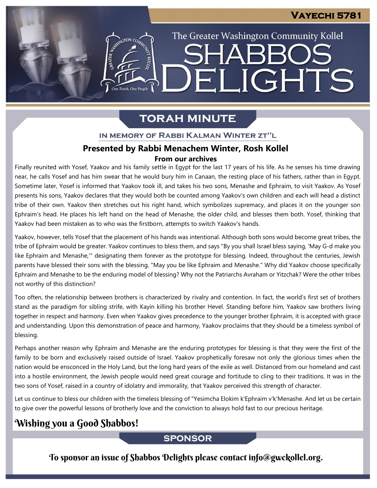The Greater Washington Community Kollel

ARR

ELIGHTS

## **TORAH MINUTE**

ASSIMIGTON CO

One Torah, One People

### IN MEMORY OF RABBI KALMAN WINTER ZT"L

# **Presented by Rabbi Menachem Winter, Rosh Kollel<br>From our archives**

Finally reunited with Yosef, Yaakov and his family settle in Egypt for the last 17 years of his life. As he senses his time drawing near, he calls Yosef and has him swear that he would bury him in Canaan, the resting place of his fathers, rather than in Egypt. Sometime later, Yosef is informed that Yaakov took ill, and takes his two sons, Menashe and Ephraim, to visit Yaakov. As Yosef presents his sons, Yaakov declares that they would both be counted among Yaakov's own children and each will head a distinct tribe of their own. Yaakov then stretches out his right hand, which symbolizes supremacy, and places it on the younger son Ephraim's head. He places his left hand on the head of Menashe, the older child, and blesses them both. Yosef, thinking that Yaakov had been mistaken as to who was the firstborn, attempts to switch Yaakov's hands.

Yaakov, however, tells Yosef that the placement of his hands was intentional. Although both sons would become great tribes, the tribe of Ephraim would be greater. Yaakov continues to bless them, and says "By you shall Israel bless saying, 'May G-d make you like Ephraim and Menashe,'" designating them forever as the prototype for blessing. Indeed, throughout the centuries, Jewish parents have blessed their sons with the blessing, "May you be like Ephraim and Menashe." Why did Yaakov choose specifically Ephraim and Menashe to be the enduring model of blessing? Why not the Patriarchs Avraham or Yitzchak? Were the other tribes not worthy of this distinction?

Too often, the relationship between brothers is characterized by rivalry and contention. In fact, the world's first set of brothers stand as the paradigm for sibling strife, with Kayin killing his brother Hevel. Standing before him, Yaakov saw brothers living together in respect and harmony. Even when Yaakov gives precedence to the younger brother Ephraim, it is accepted with grace and understanding. Upon this demonstration of peace and harmony, Yaakov proclaims that they should be a timeless symbol of blessing.

Perhaps another reason why Ephraim and Menashe are the enduring prototypes for blessing is that they were the first of the family to be born and exclusively raised outside of Israel. Yaakov prophetically foresaw not only the glorious times when the nation would be ensconced in the Holy Land, but the long hard years of the exile as well. Distanced from our homeland and cast into a hostile environment, the Jewish people would need great courage and fortitude to cling to their traditions. It was in the two sons of Yosef, raised in a country of idolatry and immorality, that Yaakov perceived this strength of character.

Let us continue to bless our children with the timeless blessing of "Yesimcha Elokim k'Ephraim v'k'Menashe. And let us be certain to give over the powerful lessons of brotherly love and the conviction to always hold fast to our precious heritage.

## Wishing you a Good Shabbos!

## **SPONSOR**

To sponsor an issue of Shabbos Delights please contact info@gwckollel.org.